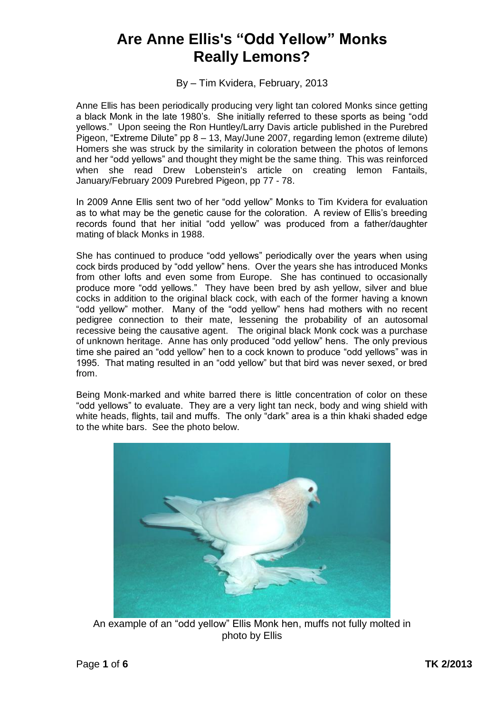## **Are Anne Ellis's "Odd Yellow" Monks Really Lemons?**

By – Tim Kvidera, February, 2013

Anne Ellis has been periodically producing very light tan colored Monks since getting a black Monk in the late 1980's. She initially referred to these sports as being "odd yellows." Upon seeing the Ron Huntley/Larry Davis article published in the Purebred Pigeon, "Extreme Dilute" pp 8 – 13, May/June 2007, regarding lemon (extreme dilute) Homers she was struck by the similarity in coloration between the photos of lemons and her "odd yellows" and thought they might be the same thing. This was reinforced when she read Drew Lobenstein's article on creating lemon Fantails, January/February 2009 Purebred Pigeon, pp 77 - 78.

In 2009 Anne Ellis sent two of her "odd yellow" Monks to Tim Kvidera for evaluation as to what may be the genetic cause for the coloration. A review of Ellis's breeding records found that her initial "odd yellow" was produced from a father/daughter mating of black Monks in 1988.

She has continued to produce "odd yellows" periodically over the years when using cock birds produced by "odd yellow" hens. Over the years she has introduced Monks from other lofts and even some from Europe. She has continued to occasionally produce more "odd yellows." They have been bred by ash yellow, silver and blue cocks in addition to the original black cock, with each of the former having a known "odd yellow" mother. Many of the "odd yellow" hens had mothers with no recent pedigree connection to their mate, lessening the probability of an autosomal recessive being the causative agent. The original black Monk cock was a purchase of unknown heritage. Anne has only produced "odd yellow" hens. The only previous time she paired an "odd yellow" hen to a cock known to produce "odd yellows" was in 1995. That mating resulted in an "odd yellow" but that bird was never sexed, or bred from.

Being Monk-marked and white barred there is little concentration of color on these "odd yellows" to evaluate. They are a very light tan neck, body and wing shield with white heads, flights, tail and muffs. The only "dark" area is a thin khaki shaded edge to the white bars. See the photo below.



An example of an "odd yellow" Ellis Monk hen, muffs not fully molted in photo by Ellis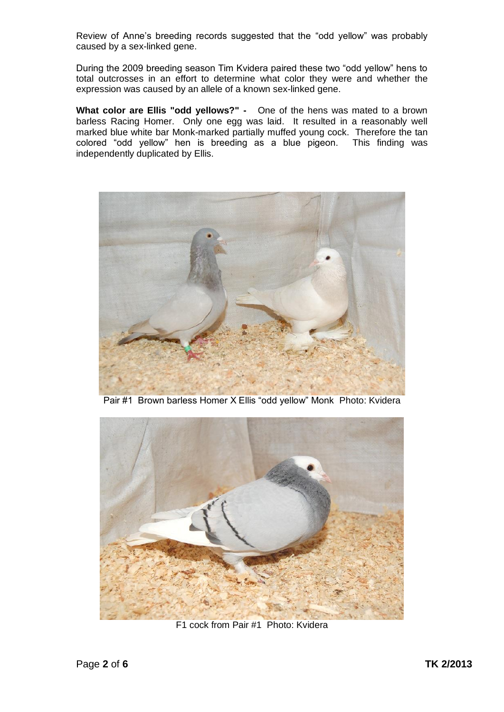Review of Anne's breeding records suggested that the "odd yellow" was probably caused by a sex-linked gene.

During the 2009 breeding season Tim Kvidera paired these two "odd yellow" hens to total outcrosses in an effort to determine what color they were and whether the expression was caused by an allele of a known sex-linked gene.

**What color are Ellis "odd yellows?" -** One of the hens was mated to a brown barless Racing Homer. Only one egg was laid. It resulted in a reasonably well marked blue white bar Monk-marked partially muffed young cock. Therefore the tan colored "odd yellow" hen is breeding as a blue pigeon. This finding was independently duplicated by Ellis.



Pair #1 Brown barless Homer X Ellis "odd yellow" Monk Photo: Kvidera



F1 cock from Pair #1 Photo: Kvidera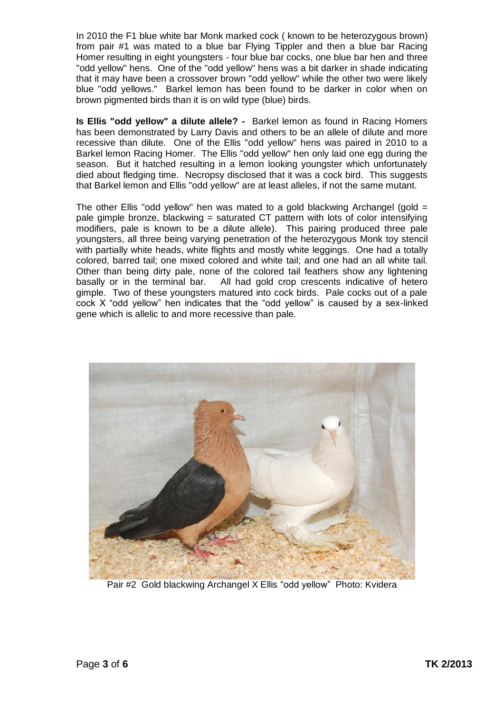In 2010 the F1 blue white bar Monk marked cock ( known to be heterozygous brown) from pair #1 was mated to a blue bar Flying Tippler and then a blue bar Racing Homer resulting in eight youngsters - four blue bar cocks, one blue bar hen and three "odd yellow" hens. One of the "odd yellow" hens was a bit darker in shade indicating that it may have been a crossover brown "odd yellow" while the other two were likely blue "odd yellows." Barkel lemon has been found to be darker in color when on brown pigmented birds than it is on wild type (blue) birds.

**Is Ellis "odd yellow" a dilute allele? -** Barkel lemon as found in Racing Homers has been demonstrated by Larry Davis and others to be an allele of dilute and more recessive than dilute. One of the Ellis "odd yellow" hens was paired in 2010 to a Barkel lemon Racing Homer. The Ellis "odd yellow" hen only laid one egg during the season. But it hatched resulting in a lemon looking youngster which unfortunately died about fledging time. Necropsy disclosed that it was a cock bird. This suggests that Barkel lemon and Ellis "odd yellow" are at least alleles, if not the same mutant.

The other Ellis "odd yellow" hen was mated to a gold blackwing Archangel (gold = pale gimple bronze, blackwing = saturated CT pattern with lots of color intensifying modifiers, pale is known to be a dilute allele). This pairing produced three pale youngsters, all three being varying penetration of the heterozygous Monk toy stencil with partially white heads, white flights and mostly white leggings. One had a totally colored, barred tail; one mixed colored and white tail; and one had an all white tail. Other than being dirty pale, none of the colored tail feathers show any lightening basally or in the terminal bar. All had gold crop crescents indicative of hetero gimple. Two of these youngsters matured into cock birds. Pale cocks out of a pale cock X "odd yellow" hen indicates that the "odd yellow" is caused by a sex-linked gene which is allelic to and more recessive than pale.



Pair #2 Gold blackwing Archangel X Ellis "odd yellow" Photo: Kvidera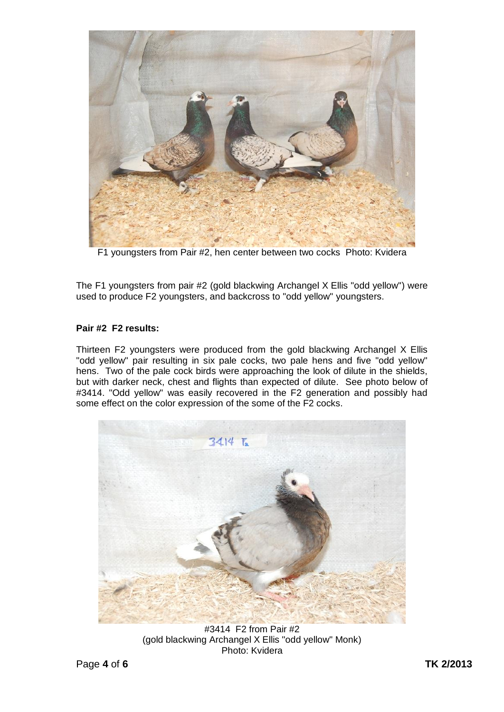

F1 youngsters from Pair #2, hen center between two cocks Photo: Kvidera

The F1 youngsters from pair #2 (gold blackwing Archangel X Ellis "odd yellow") were used to produce F2 youngsters, and backcross to "odd yellow" youngsters.

## **Pair #2 F2 results:**

Thirteen F2 youngsters were produced from the gold blackwing Archangel X Ellis "odd yellow" pair resulting in six pale cocks, two pale hens and five "odd yellow" hens. Two of the pale cock birds were approaching the look of dilute in the shields, but with darker neck, chest and flights than expected of dilute. See photo below of #3414. "Odd yellow" was easily recovered in the F2 generation and possibly had some effect on the color expression of the some of the F2 cocks.



#3414 F2 from Pair #2 (gold blackwing Archangel X Ellis "odd yellow" Monk) Photo: Kvidera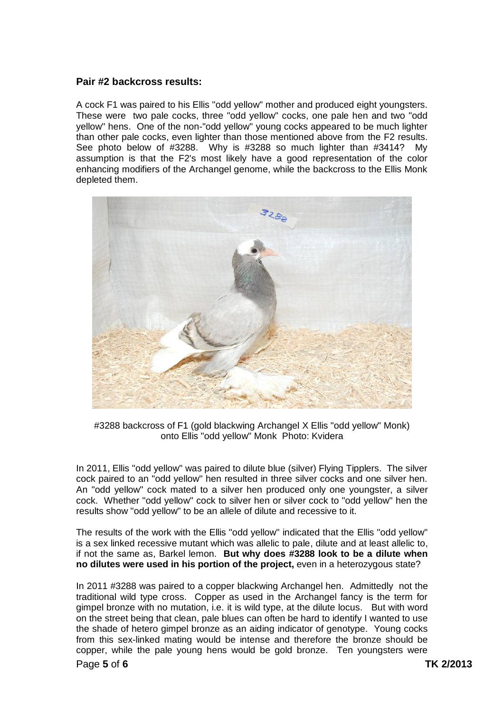## **Pair #2 backcross results:**

A cock F1 was paired to his Ellis "odd yellow" mother and produced eight youngsters. These were two pale cocks, three "odd yellow" cocks, one pale hen and two "odd yellow" hens. One of the non-"odd yellow" young cocks appeared to be much lighter than other pale cocks, even lighter than those mentioned above from the F2 results. See photo below of #3288. Why is #3288 so much lighter than #3414? My assumption is that the F2's most likely have a good representation of the color enhancing modifiers of the Archangel genome, while the backcross to the Ellis Monk depleted them.



#3288 backcross of F1 (gold blackwing Archangel X Ellis "odd yellow" Monk) onto Ellis "odd yellow" Monk Photo: Kvidera

In 2011, Ellis "odd yellow" was paired to dilute blue (silver) Flying Tipplers. The silver cock paired to an "odd yellow" hen resulted in three silver cocks and one silver hen. An "odd yellow" cock mated to a silver hen produced only one youngster, a silver cock. Whether "odd yellow" cock to silver hen or silver cock to "odd yellow" hen the results show "odd yellow" to be an allele of dilute and recessive to it.

The results of the work with the Ellis "odd yellow" indicated that the Ellis "odd yellow" is a sex linked recessive mutant which was allelic to pale, dilute and at least allelic to, if not the same as, Barkel lemon. **But why does #3288 look to be a dilute when no dilutes were used in his portion of the project,** even in a heterozygous state?

Page **5** of **6 TK 2/2013** In 2011 #3288 was paired to a copper blackwing Archangel hen. Admittedly not the traditional wild type cross. Copper as used in the Archangel fancy is the term for gimpel bronze with no mutation, i.e. it is wild type, at the dilute locus. But with word on the street being that clean, pale blues can often be hard to identify I wanted to use the shade of hetero gimpel bronze as an aiding indicator of genotype. Young cocks from this sex-linked mating would be intense and therefore the bronze should be copper, while the pale young hens would be gold bronze. Ten youngsters were